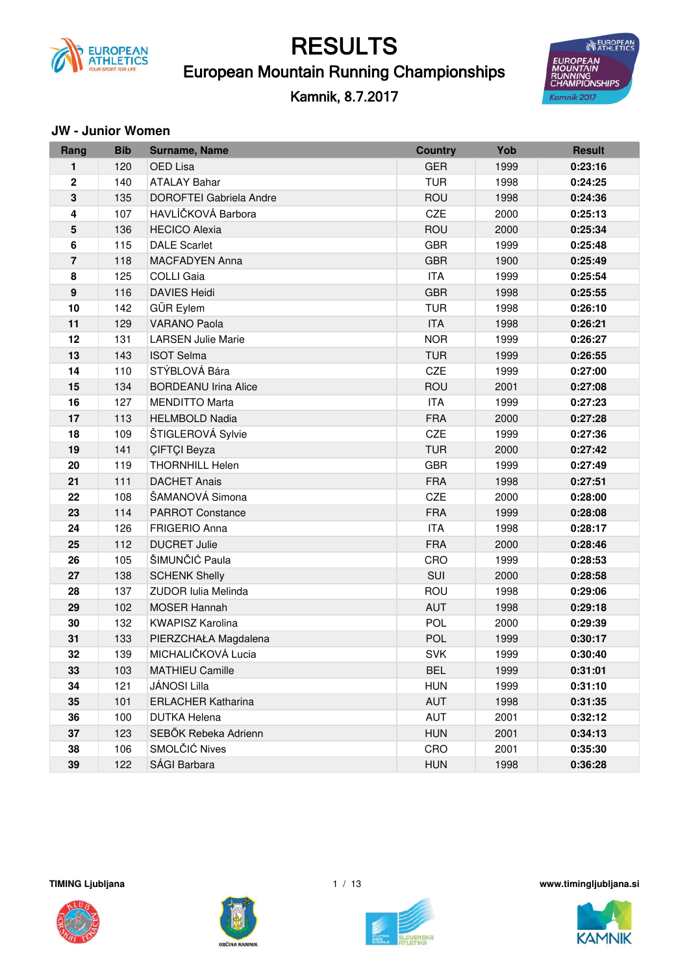

### European Mountain Running Championships

Kamnik, 8.7.2017



#### **JW** - Junior Women

| Rang                    | <b>Bib</b> | Surname, Name                  | <b>Country</b> | Yob  | <b>Result</b> |
|-------------------------|------------|--------------------------------|----------------|------|---------------|
| 1                       | 120        | OED Lisa                       | <b>GER</b>     | 1999 | 0:23:16       |
| $\mathbf 2$             | 140        | <b>ATALAY Bahar</b>            | <b>TUR</b>     | 1998 | 0:24:25       |
| 3                       | 135        | <b>DOROFTEI Gabriela Andre</b> | ROU            | 1998 | 0:24:36       |
| 4                       | 107        | HAVLÍČKOVÁ Barbora             | <b>CZE</b>     | 2000 | 0:25:13       |
| 5                       | 136        | <b>HECICO Alexia</b>           | <b>ROU</b>     | 2000 | 0:25:34       |
| $\bf 6$                 | 115        | <b>DALE Scarlet</b>            | <b>GBR</b>     | 1999 | 0:25:48       |
| $\overline{\mathbf{r}}$ | 118        | <b>MACFADYEN Anna</b>          | <b>GBR</b>     | 1900 | 0:25:49       |
| 8                       | 125        | <b>COLLI Gaia</b>              | <b>ITA</b>     | 1999 | 0:25:54       |
| $\boldsymbol{9}$        | 116        | <b>DAVIES Heidi</b>            | <b>GBR</b>     | 1998 | 0:25:55       |
| 10                      | 142        | GÜR Eylem                      | <b>TUR</b>     | 1998 | 0:26:10       |
| 11                      | 129        | <b>VARANO Paola</b>            | <b>ITA</b>     | 1998 | 0:26:21       |
| 12                      | 131        | <b>LARSEN Julie Marie</b>      | <b>NOR</b>     | 1999 | 0:26:27       |
| 13                      | 143        | <b>ISOT Selma</b>              | <b>TUR</b>     | 1999 | 0:26:55       |
| 14                      | 110        | STÝBLOVÁ Bára                  | CZE            | 1999 | 0:27:00       |
| 15                      | 134        | <b>BORDEANU Irina Alice</b>    | ROU            | 2001 | 0:27:08       |
| 16                      | 127        | <b>MENDITTO Marta</b>          | <b>ITA</b>     | 1999 | 0:27:23       |
| 17                      | 113        | <b>HELMBOLD Nadia</b>          | <b>FRA</b>     | 2000 | 0:27:28       |
| 18                      | 109        | ŠTIGLEROVÁ Sylvie              | CZE            | 1999 | 0:27:36       |
| 19                      | 141        | ÇIFTÇI Beyza                   | <b>TUR</b>     | 2000 | 0:27:42       |
| 20                      | 119        | <b>THORNHILL Helen</b>         | <b>GBR</b>     | 1999 | 0:27:49       |
| 21                      | 111        | <b>DACHET Anais</b>            | <b>FRA</b>     | 1998 | 0:27:51       |
| 22                      | 108        | ŠAMANOVÁ Simona                | CZE            | 2000 | 0:28:00       |
| 23                      | 114        | <b>PARROT Constance</b>        | <b>FRA</b>     | 1999 | 0:28:08       |
| 24                      | 126        | <b>FRIGERIO Anna</b>           | <b>ITA</b>     | 1998 | 0:28:17       |
| 25                      | 112        | <b>DUCRET Julie</b>            | <b>FRA</b>     | 2000 | 0:28:46       |
| 26                      | 105        | ŠIMUNČIĆ Paula                 | CRO            | 1999 | 0:28:53       |
| 27                      | 138        | <b>SCHENK Shelly</b>           | SUI            | 2000 | 0:28:58       |
| 28                      | 137        | <b>ZUDOR Iulia Melinda</b>     | ROU            | 1998 | 0:29:06       |
| 29                      | 102        | <b>MOSER Hannah</b>            | <b>AUT</b>     | 1998 | 0:29:18       |
| 30                      | 132        | <b>KWAPISZ Karolina</b>        | POL            | 2000 | 0:29:39       |
| 31                      | 133        | PIERZCHAŁA Magdalena           | POL            | 1999 | 0:30:17       |
| 32                      | 139        | MICHALIČKOVÁ Lucia             | <b>SVK</b>     | 1999 | 0:30:40       |
| 33                      | 103        | <b>MATHIEU Camille</b>         | <b>BEL</b>     | 1999 | 0:31:01       |
| 34                      | 121        | JÁNOSI Lilla                   | <b>HUN</b>     | 1999 | 0:31:10       |
| 35                      | 101        | <b>ERLACHER Katharina</b>      | <b>AUT</b>     | 1998 | 0:31:35       |
| 36                      | 100        | <b>DUTKA Helena</b>            | AUT            | 2001 | 0:32:12       |
| 37                      | 123        | SEBŐK Rebeka Adrienn           | <b>HUN</b>     | 2001 | 0:34:13       |
| 38                      | 106        | SMOLČIĆ Nives                  | CRO            | 2001 | 0:35:30       |
| 39                      | 122        | SÁGI Barbara                   | <b>HUN</b>     | 1998 | 0:36:28       |







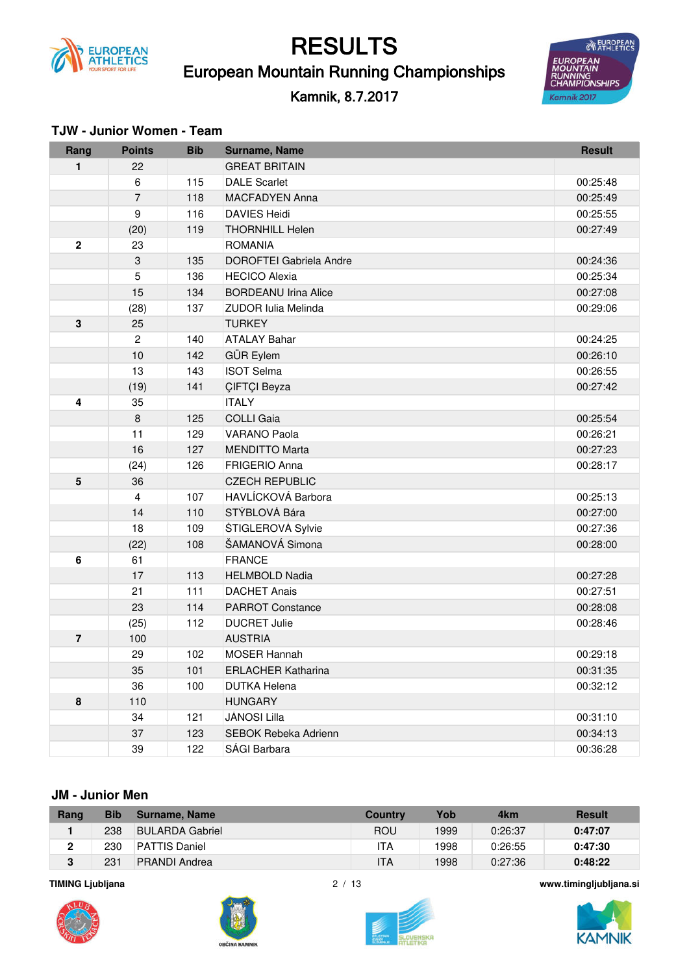

European Mountain Running Championships

#### Kamnik, 8.7.2017



| Rang           | <b>Points</b>    | <b>Bib</b> | Surname, Name                  | <b>Result</b> |
|----------------|------------------|------------|--------------------------------|---------------|
| 1              | 22               |            | <b>GREAT BRITAIN</b>           |               |
|                | 6                | 115        | <b>DALE Scarlet</b>            | 00:25:48      |
|                | $\overline{7}$   | 118        | <b>MACFADYEN Anna</b>          | 00:25:49      |
|                | $\boldsymbol{9}$ | 116        | <b>DAVIES Heidi</b>            | 00:25:55      |
|                | (20)             | 119        | <b>THORNHILL Helen</b>         | 00:27:49      |
| $\overline{2}$ | 23               |            | <b>ROMANIA</b>                 |               |
|                | 3                | 135        | <b>DOROFTEI Gabriela Andre</b> | 00:24:36      |
|                | 5                | 136        | <b>HECICO Alexia</b>           | 00:25:34      |
|                | 15               | 134        | <b>BORDEANU Irina Alice</b>    | 00:27:08      |
|                | (28)             | 137        | <b>ZUDOR Iulia Melinda</b>     | 00:29:06      |
| $\mathbf{3}$   | 25               |            | <b>TURKEY</b>                  |               |
|                | $\overline{2}$   | 140        | <b>ATALAY Bahar</b>            | 00:24:25      |
|                | 10               | 142        | GÜR Eylem                      | 00:26:10      |
|                | 13               | 143        | <b>ISOT Selma</b>              | 00:26:55      |
|                | (19)             | 141        | <b>CIFTCI Beyza</b>            | 00:27:42      |
| 4              | 35               |            | <b>ITALY</b>                   |               |
|                | $\,8\,$          | 125        | <b>COLLI Gaia</b>              | 00:25:54      |
|                | 11               | 129        | <b>VARANO Paola</b>            | 00:26:21      |
|                | 16               | 127        | <b>MENDITTO Marta</b>          | 00:27:23      |
|                | (24)             | 126        | <b>FRIGERIO Anna</b>           | 00:28:17      |
| 5              | 36               |            | <b>CZECH REPUBLIC</b>          |               |
|                | $\overline{4}$   | 107        | HAVLÍCKOVÁ Barbora             | 00:25:13      |
|                | 14               | 110        | STÝBLOVÁ Bára                  | 00:27:00      |
|                | 18               | 109        | ŠTIGLEROVÁ Sylvie              | 00:27:36      |
|                | (22)             | 108        | ŠAMANOVÁ Simona                | 00:28:00      |
| $\bf 6$        | 61               |            | <b>FRANCE</b>                  |               |
|                | 17               | 113        | <b>HELMBOLD Nadia</b>          | 00:27:28      |
|                | 21               | 111        | <b>DACHET Anais</b>            | 00:27:51      |
|                | 23               | 114        | <b>PARROT Constance</b>        | 00:28:08      |
|                | (25)             | 112        | <b>DUCRET Julie</b>            | 00:28:46      |
| $\overline{7}$ | 100              |            | <b>AUSTRIA</b>                 |               |
|                | 29               | 102        | MOSER Hannah                   | 00:29:18      |
|                | 35               | 101        | <b>ERLACHER Katharina</b>      | 00:31:35      |
|                | 36               | 100        | <b>DUTKA Helena</b>            | 00:32:12      |
| 8              | 110              |            | <b>HUNGARY</b>                 |               |
|                | 34               | 121        | JÁNOSI Lilla                   | 00:31:10      |
|                | 37               | 123        | SEBOK Rebeka Adrienn           | 00:34:13      |
|                | 39               | 122        | SÁGI Barbara                   | 00:36:28      |

#### **TJW - Junior Women - Team**

#### **JM - Junior Men**

| Rang | Bib | Surname, Name        | <b>Country</b> | Yob  | 4km     | <b>Result</b> |
|------|-----|----------------------|----------------|------|---------|---------------|
|      | 238 | BULARDA Gabriel      | ROU            | 1999 | 0:26:37 | 0:47:07       |
| 2    | 230 | <b>PATTIS Daniel</b> | ١TA            | 1998 | 0:26:55 | 0:47:30       |
| 3    | 231 | <b>PRANDI Andrea</b> | ITA            | 1998 | 0:27:36 | 0:48:22       |











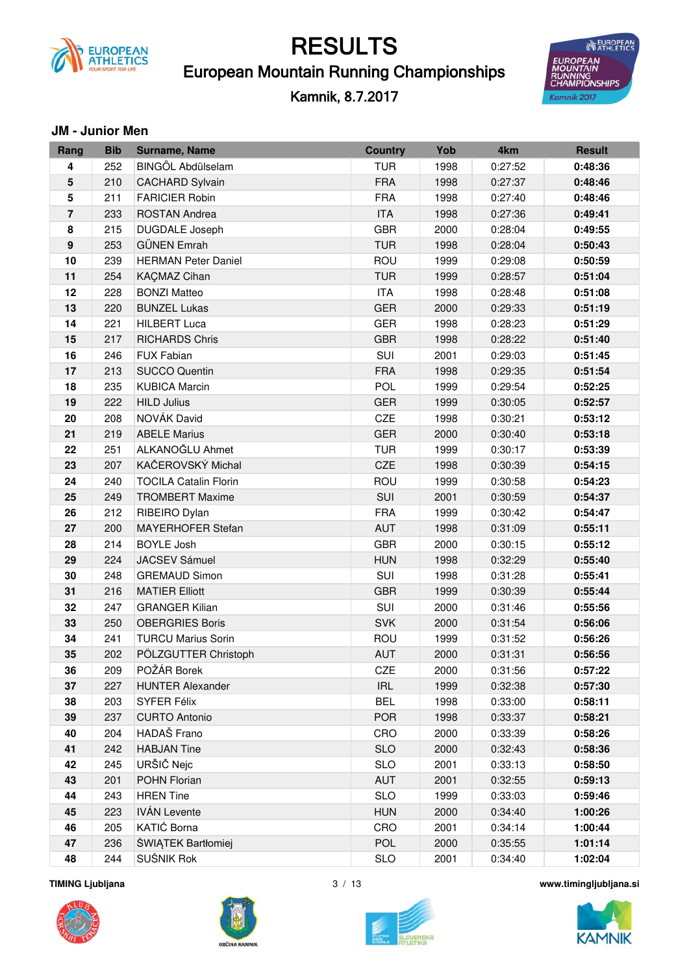

### European Mountain Running Championships

Kamnik, 8.7.2017



#### **JM - Junior Men**

| Rang             | <b>Bib</b> | Surname, Name                | <b>Country</b> | Yob  | 4km     | <b>Result</b> |
|------------------|------------|------------------------------|----------------|------|---------|---------------|
| 4                | 252        | BINGÖL Abdülselam            | <b>TUR</b>     | 1998 | 0:27:52 | 0:48:36       |
| 5                | 210        | <b>CACHARD Sylvain</b>       | <b>FRA</b>     | 1998 | 0:27:37 | 0:48:46       |
| 5                | 211        | <b>FARICIER Robin</b>        | <b>FRA</b>     | 1998 | 0:27:40 | 0:48:46       |
| $\overline{7}$   | 233        | <b>ROSTAN Andrea</b>         | <b>ITA</b>     | 1998 | 0:27:36 | 0:49:41       |
| 8                | 215        | DUGDALE Joseph               | <b>GBR</b>     | 2000 | 0:28:04 | 0:49:55       |
| $\boldsymbol{9}$ | 253        | <b>GÜNEN Emrah</b>           | <b>TUR</b>     | 1998 | 0:28:04 | 0:50:43       |
| 10               | 239        | <b>HERMAN Peter Daniel</b>   | ROU            | 1999 | 0:29:08 | 0:50:59       |
| 11               | 254        | KAÇMAZ Cihan                 | <b>TUR</b>     | 1999 | 0:28:57 | 0:51:04       |
| 12               | 228        | <b>BONZI Matteo</b>          | <b>ITA</b>     | 1998 | 0:28:48 | 0:51:08       |
| 13               | 220        | <b>BUNZEL Lukas</b>          | <b>GER</b>     | 2000 | 0:29:33 | 0:51:19       |
| 14               | 221        | <b>HILBERT Luca</b>          | <b>GER</b>     | 1998 | 0:28:23 | 0:51:29       |
| 15               | 217        | <b>RICHARDS Chris</b>        | <b>GBR</b>     | 1998 | 0:28:22 | 0:51:40       |
| 16               | 246        | <b>FUX Fabian</b>            | SUI            | 2001 | 0:29:03 | 0:51:45       |
| 17               | 213        | <b>SUCCO Quentin</b>         | <b>FRA</b>     | 1998 | 0:29:35 | 0:51:54       |
| 18               | 235        | <b>KUBICA Marcin</b>         | <b>POL</b>     | 1999 | 0:29:54 | 0:52:25       |
| 19               | 222        | <b>HILD Julius</b>           | <b>GER</b>     | 1999 | 0:30:05 | 0:52:57       |
| 20               | 208        | NOVÁK David                  | CZE            | 1998 | 0:30:21 | 0:53:12       |
| 21               | 219        | <b>ABELE Marius</b>          | <b>GER</b>     | 2000 | 0:30:40 | 0:53:18       |
| 22               | 251        | ALKANOĞLU Ahmet              | <b>TUR</b>     | 1999 | 0:30:17 | 0:53:39       |
| 23               | 207        | KAČEROVSKÝ Michal            | CZE            | 1998 | 0:30:39 | 0:54:15       |
| 24               | 240        | <b>TOCILA Catalin Florin</b> | ROU            | 1999 | 0:30:58 | 0:54:23       |
| 25               | 249        | <b>TROMBERT Maxime</b>       | SUI            | 2001 | 0:30:59 | 0:54:37       |
| 26               | 212        | RIBEIRO Dylan                | <b>FRA</b>     | 1999 | 0:30:42 | 0:54:47       |
| 27               | 200        | MAYERHOFER Stefan            | AUT            | 1998 | 0:31:09 | 0:55:11       |
| 28               | 214        | <b>BOYLE Josh</b>            | <b>GBR</b>     | 2000 | 0:30:15 | 0:55:12       |
| 29               | 224        | <b>JACSEV Sámuel</b>         | <b>HUN</b>     | 1998 | 0:32:29 | 0:55:40       |
| 30               | 248        | <b>GREMAUD Simon</b>         | SUI            | 1998 | 0:31:28 | 0:55:41       |
| 31               | 216        | <b>MATIER Elliott</b>        | <b>GBR</b>     | 1999 | 0:30:39 | 0:55:44       |
| 32               | 247        | <b>GRANGER Kilian</b>        | SUI            | 2000 | 0:31:46 | 0:55:56       |
| 33               | 250        | <b>OBERGRIES Boris</b>       | <b>SVK</b>     | 2000 | 0:31:54 | 0:56:06       |
| 34               | 241        | <b>TURCU Marius Sorin</b>    | <b>ROU</b>     | 1999 | 0:31:52 | 0:56:26       |
| 35               | 202        | PÖLZGUTTER Christoph         | <b>AUT</b>     | 2000 | 0:31:31 | 0:56:56       |
| 36               | 209        | POŽÁR Borek                  | CZE            | 2000 | 0:31:56 | 0:57:22       |
| 37               | 227        | <b>HUNTER Alexander</b>      | <b>IRL</b>     | 1999 | 0:32:38 | 0:57:30       |
| 38               | 203        | SYFER Félix                  | <b>BEL</b>     | 1998 | 0:33:00 | 0:58:11       |
| 39               | 237        | <b>CURTO Antonio</b>         | <b>POR</b>     | 1998 | 0:33:37 | 0:58:21       |
| 40               | 204        | HADAŠ Frano                  | CRO            | 2000 | 0:33:39 | 0:58:26       |
| 41               | 242        | <b>HABJAN Tine</b>           | <b>SLO</b>     | 2000 | 0:32:43 | 0:58:36       |
| 42               | 245        | URŠIČ Nejc                   | <b>SLO</b>     | 2001 | 0:33:13 | 0:58:50       |
| 43               | 201        | POHN Florian                 | <b>AUT</b>     | 2001 | 0:32:55 | 0:59:13       |
| 44               | 243        | <b>HREN Tine</b>             | <b>SLO</b>     | 1999 | 0:33:03 | 0:59:46       |
| 45               | 223        | <b>IVÁN Levente</b>          | <b>HUN</b>     | 2000 | 0:34:40 | 1:00:26       |
| 46               | 205        | KATIĆ Borna                  | CRO            | 2001 | 0:34:14 | 1:00:44       |
| 47               | 236        | ŚWIĄTEK Bartłomiej           | <b>POL</b>     | 2000 | 0:35:55 | 1:01:14       |
| 48               | 244        | SUŠNIK Rok                   | <b>SLO</b>     | 2001 | 0:34:40 | 1:02:04       |

**TIMING Ljubljana** 







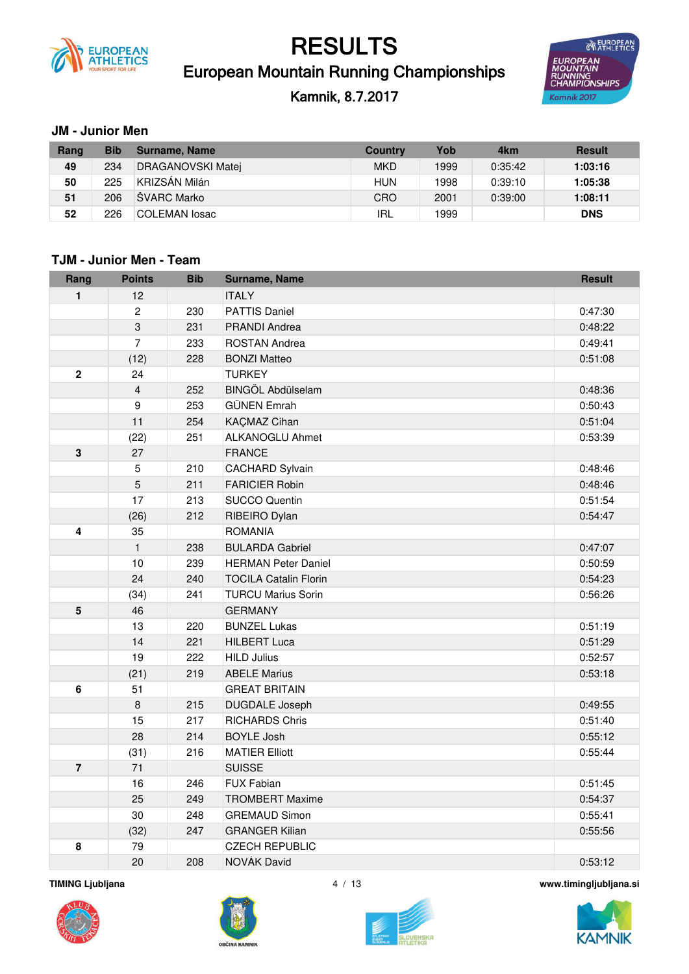

### European Mountain Running Championships RESULTS

### Kamnik, 8.7.2017



#### **JM - Junior Men**

| Rang | Bib | Surname, Name     | <b>Country</b> | Yob  | 4km     | <b>Result</b> |
|------|-----|-------------------|----------------|------|---------|---------------|
| 49   | 234 | DRAGANOVSKI Matej | <b>MKD</b>     | 1999 | 0:35:42 | 1:03:16       |
| 50   | 225 | KRIZSÁN Milán     | HUN            | 1998 | 0:39:10 | 1:05:38       |
| 51   | 206 | ŠVARC Marko       | CRO            | 2001 | 0:39:00 | 1:08:11       |
| 52   | 226 | COLEMAN losac     | IRL            | 1999 |         | <b>DNS</b>    |

#### **TJM - Junior Men - Team**

| Rang           | <b>Points</b>    | <b>Bib</b> | Surname, Name                | <b>Result</b> |
|----------------|------------------|------------|------------------------------|---------------|
| 1              | 12               |            | <b>ITALY</b>                 |               |
|                | 2                | 230        | <b>PATTIS Daniel</b>         | 0:47:30       |
|                | $\mathbf{3}$     | 231        | <b>PRANDI Andrea</b>         | 0:48:22       |
|                | $\overline{7}$   | 233        | ROSTAN Andrea                | 0:49:41       |
|                | (12)             | 228        | <b>BONZI Matteo</b>          | 0:51:08       |
| $\mathbf 2$    | 24               |            | <b>TURKEY</b>                |               |
|                | $\overline{4}$   | 252        | <b>BINGÖL Abdülselam</b>     | 0:48:36       |
|                | $\boldsymbol{9}$ | 253        | <b>GÜNEN Emrah</b>           | 0:50:43       |
|                | 11               | 254        | <b>KAÇMAZ Cihan</b>          | 0:51:04       |
|                | (22)             | 251        | ALKANOGLU Ahmet              | 0:53:39       |
| $\mathbf 3$    | 27               |            | <b>FRANCE</b>                |               |
|                | $\sqrt{5}$       | 210        | <b>CACHARD Sylvain</b>       | 0:48:46       |
|                | 5                | 211        | <b>FARICIER Robin</b>        | 0:48:46       |
|                | 17               | 213        | <b>SUCCO Quentin</b>         | 0:51:54       |
|                | (26)             | 212        | RIBEIRO Dylan                | 0:54:47       |
| 4              | 35               |            | <b>ROMANIA</b>               |               |
|                | $\mathbf{1}$     | 238        | <b>BULARDA Gabriel</b>       | 0:47:07       |
|                | 10               | 239        | <b>HERMAN Peter Daniel</b>   | 0:50:59       |
|                | 24               | 240        | <b>TOCILA Catalin Florin</b> | 0:54:23       |
|                | (34)             | 241        | <b>TURCU Marius Sorin</b>    | 0:56:26       |
| 5              | 46               |            | <b>GERMANY</b>               |               |
|                | 13               | 220        | <b>BUNZEL Lukas</b>          | 0:51:19       |
|                | 14               | 221        | <b>HILBERT Luca</b>          | 0:51:29       |
|                | 19               | 222        | <b>HILD Julius</b>           | 0:52:57       |
|                | (21)             | 219        | <b>ABELE Marius</b>          | 0:53:18       |
| 6              | 51               |            | <b>GREAT BRITAIN</b>         |               |
|                | $\,8\,$          | 215        | <b>DUGDALE Joseph</b>        | 0:49:55       |
|                | 15               | 217        | <b>RICHARDS Chris</b>        | 0:51:40       |
|                | 28               | 214        | <b>BOYLE Josh</b>            | 0:55:12       |
|                | (31)             | 216        | <b>MATIER Elliott</b>        | 0:55:44       |
| $\overline{7}$ | 71               |            | <b>SUISSE</b>                |               |
|                | 16               | 246        | <b>FUX Fabian</b>            | 0:51:45       |
|                | 25               | 249        | <b>TROMBERT Maxime</b>       | 0:54:37       |
|                | 30               | 248        | <b>GREMAUD Simon</b>         | 0:55:41       |
|                | (32)             | 247        | <b>GRANGER Kilian</b>        | 0:55:56       |
| 8              | 79               |            | <b>CZECH REPUBLIC</b>        |               |
|                | 20               | 208        | <b>NOVAK David</b>           | 0:53:12       |







**TIMING Ljubljana** 4 / 13 **www.timingljubljana.si**

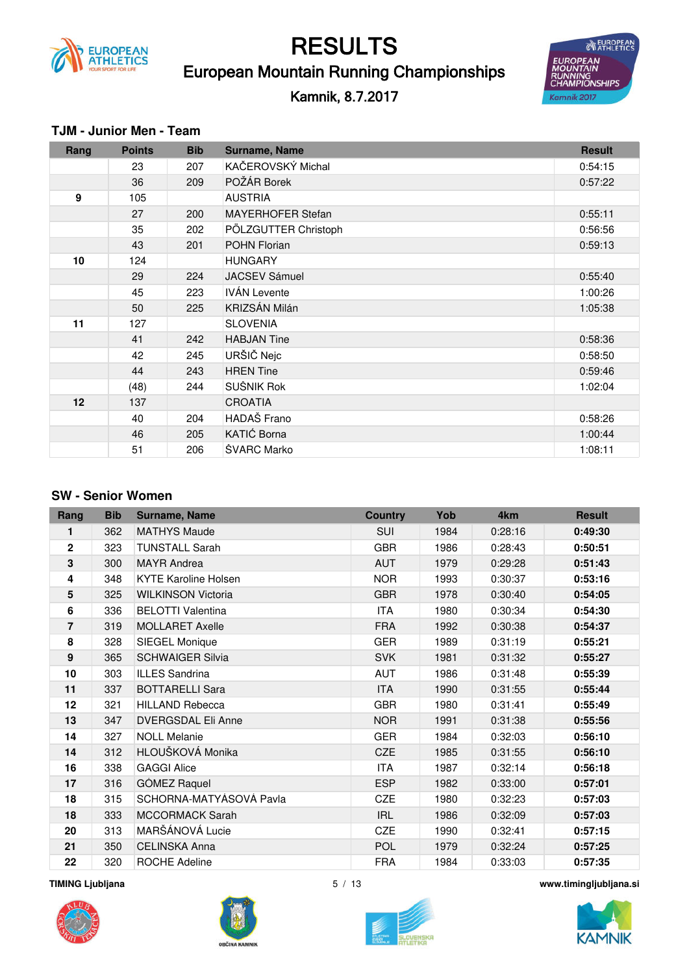

### European Mountain Running Championships RESULTS

Kamnik, 8.7.2017



#### **TJM - Junior Men - Team**

| Rang            | <b>Points</b> | <b>Bib</b> | <b>Surname, Name</b> | <b>Result</b> |
|-----------------|---------------|------------|----------------------|---------------|
|                 | 23            | 207        | KAČEROVSKÝ Michal    | 0:54:15       |
|                 | 36            | 209        | POŽÁR Borek          | 0:57:22       |
| 9               | 105           |            | <b>AUSTRIA</b>       |               |
|                 | 27            | 200        | MAYERHOFER Stefan    | 0:55:11       |
|                 | 35            | 202        | PÖLZGUTTER Christoph | 0:56:56       |
|                 | 43            | 201        | <b>POHN Florian</b>  | 0:59:13       |
| 10              | 124           |            | <b>HUNGARY</b>       |               |
|                 | 29            | 224        | <b>JACSEV Sámuel</b> | 0:55:40       |
|                 | 45            | 223        | <b>IVÁN Levente</b>  | 1:00:26       |
|                 | 50            | 225        | KRIZSÁN Milán        | 1:05:38       |
| 11              | 127           |            | <b>SLOVENIA</b>      |               |
|                 | 41            | 242        | <b>HABJAN Tine</b>   | 0:58:36       |
|                 | 42            | 245        | URŠIČ Nejc           | 0:58:50       |
|                 | 44            | 243        | <b>HREN Tine</b>     | 0:59:46       |
|                 | (48)          | 244        | SUŠNIK Rok           | 1:02:04       |
| 12 <sup>2</sup> | 137           |            | <b>CROATIA</b>       |               |
|                 | 40            | 204        | HADAŠ Frano          | 0:58:26       |
|                 | 46            | 205        | KATIĆ Borna          | 1:00:44       |
|                 | 51            | 206        | ŠVARC Marko          | 1:08:11       |

#### **SW - Senior Women**

| Rang            | <b>Bib</b> | <b>Surname, Name</b>        | <b>Country</b> | Yob  | 4km     | <b>Result</b> |
|-----------------|------------|-----------------------------|----------------|------|---------|---------------|
| 1               | 362        | <b>MATHYS Maude</b>         | <b>SUI</b>     | 1984 | 0:28:16 | 0:49:30       |
| $\mathbf 2$     | 323        | <b>TUNSTALL Sarah</b>       | <b>GBR</b>     | 1986 | 0:28:43 | 0:50:51       |
| 3               | 300        | <b>MAYR Andrea</b>          | <b>AUT</b>     | 1979 | 0:29:28 | 0:51:43       |
| 4               | 348        | <b>KYTE Karoline Holsen</b> | <b>NOR</b>     | 1993 | 0:30:37 | 0:53:16       |
| $5\phantom{.0}$ | 325        | <b>WILKINSON Victoria</b>   | <b>GBR</b>     | 1978 | 0:30:40 | 0:54:05       |
| 6               | 336        | <b>BELOTTI Valentina</b>    | <b>ITA</b>     | 1980 | 0:30:34 | 0:54:30       |
| 7               | 319        | <b>MOLLARET Axelle</b>      | <b>FRA</b>     | 1992 | 0:30:38 | 0:54:37       |
| 8               | 328        | SIEGEL Monique              | <b>GER</b>     | 1989 | 0:31:19 | 0:55:21       |
| 9               | 365        | <b>SCHWAIGER Silvia</b>     | <b>SVK</b>     | 1981 | 0:31:32 | 0:55:27       |
| 10              | 303        | <b>ILLES Sandrina</b>       | <b>AUT</b>     | 1986 | 0:31:48 | 0:55:39       |
| 11              | 337        | <b>BOTTARELLI Sara</b>      | <b>ITA</b>     | 1990 | 0:31:55 | 0:55:44       |
| 12              | 321        | <b>HILLAND Rebecca</b>      | <b>GBR</b>     | 1980 | 0:31:41 | 0:55:49       |
| 13              | 347        | <b>DVERGSDAL Eli Anne</b>   | <b>NOR</b>     | 1991 | 0:31:38 | 0:55:56       |
| 14              | 327        | <b>NOLL Melanie</b>         | <b>GER</b>     | 1984 | 0:32:03 | 0:56:10       |
| 14              | 312        | HLOUŠKOVÁ Monika            | <b>CZE</b>     | 1985 | 0:31:55 | 0:56:10       |
| 16              | 338        | <b>GAGGI Alice</b>          | <b>ITA</b>     | 1987 | 0:32:14 | 0:56:18       |
| 17              | 316        | GÓMEZ Raquel                | <b>ESP</b>     | 1982 | 0:33:00 | 0:57:01       |
| 18              | 315        | SCHORNA-MATYÁSOVÁ Pavla     | CZE            | 1980 | 0:32:23 | 0:57:03       |
| 18              | 333        | <b>MCCORMACK Sarah</b>      | <b>IRL</b>     | 1986 | 0:32:09 | 0:57:03       |
| 20              | 313        | MARŠÁNOVÁ Lucie             | CZE            | 1990 | 0:32:41 | 0:57:15       |
| 21              | 350        | <b>CELINSKA Anna</b>        | <b>POL</b>     | 1979 | 0:32:24 | 0:57:25       |
| 22              | 320        | <b>ROCHE Adeline</b>        | <b>FRA</b>     | 1984 | 0:33:03 | 0:57:35       |







**TIMING Ljubljana** 5 / 13 **www.timingljubljana.si**

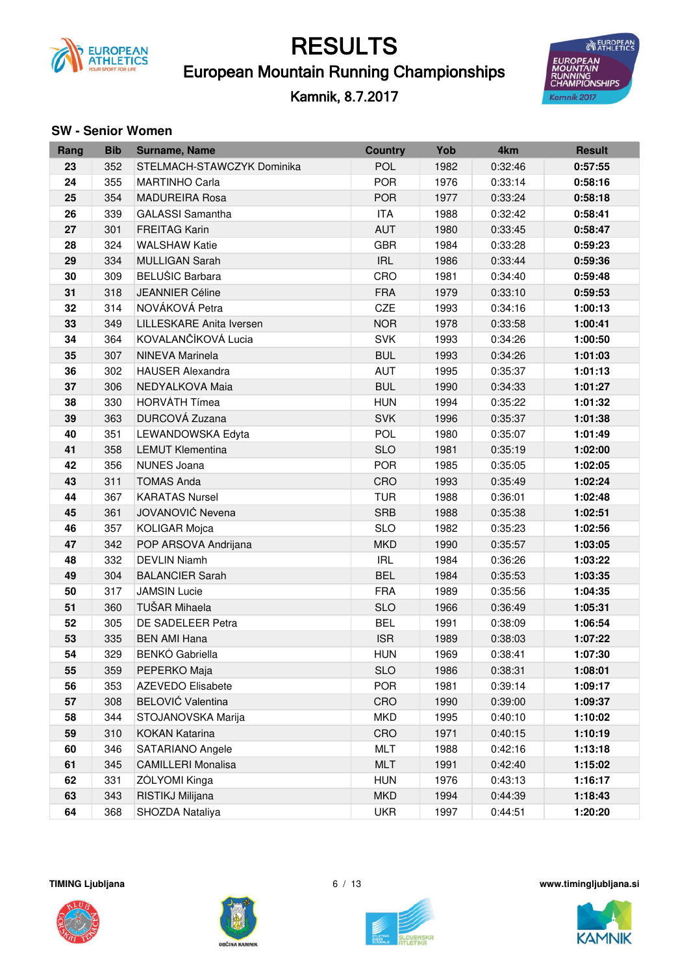

### European Mountain Running Championships

Kamnik, 8.7.2017



#### **SW** - Senior Women

| Rang | <b>Bib</b> | <b>Surname, Name</b>       | <b>Country</b> | Yob  | 4km     | <b>Result</b> |
|------|------------|----------------------------|----------------|------|---------|---------------|
| 23   | 352        | STELMACH-STAWCZYK Dominika | <b>POL</b>     | 1982 | 0:32:46 | 0:57:55       |
| 24   | 355        | <b>MARTINHO Carla</b>      | <b>POR</b>     | 1976 | 0:33:14 | 0:58:16       |
| 25   | 354        | <b>MADUREIRA Rosa</b>      | <b>POR</b>     | 1977 | 0:33:24 | 0:58:18       |
| 26   | 339        | <b>GALASSI</b> Samantha    | <b>ITA</b>     | 1988 | 0:32:42 | 0:58:41       |
| 27   | 301        | <b>FREITAG Karin</b>       | AUT            | 1980 | 0:33:45 | 0:58:47       |
| 28   | 324        | <b>WALSHAW Katie</b>       | <b>GBR</b>     | 1984 | 0:33:28 | 0:59:23       |
| 29   | 334        | <b>MULLIGAN Sarah</b>      | <b>IRL</b>     | 1986 | 0:33:44 | 0:59:36       |
| 30   | 309        | <b>BELUŠIC Barbara</b>     | CRO            | 1981 | 0:34:40 | 0:59:48       |
| 31   | 318        | <b>JEANNIER Céline</b>     | <b>FRA</b>     | 1979 | 0:33:10 | 0:59:53       |
| 32   | 314        | NOVÁKOVÁ Petra             | CZE            | 1993 | 0:34:16 | 1:00:13       |
| 33   | 349        | LILLESKARE Anita Iversen   | <b>NOR</b>     | 1978 | 0:33:58 | 1:00:41       |
| 34   | 364        | KOVALANČÍKOVÁ Lucia        | <b>SVK</b>     | 1993 | 0:34:26 | 1:00:50       |
| 35   | 307        | <b>NINEVA Marinela</b>     | <b>BUL</b>     | 1993 | 0:34:26 | 1:01:03       |
| 36   | 302        | <b>HAUSER Alexandra</b>    | AUT            | 1995 | 0:35:37 | 1:01:13       |
| 37   | 306        | NEDYALKOVA Maia            | <b>BUL</b>     | 1990 | 0:34:33 | 1:01:27       |
| 38   | 330        | <b>HORVÁTH Tímea</b>       | <b>HUN</b>     | 1994 | 0:35:22 | 1:01:32       |
| 39   | 363        | DURCOVÁ Zuzana             | <b>SVK</b>     | 1996 | 0:35:37 | 1:01:38       |
| 40   | 351        | LEWANDOWSKA Edyta          | <b>POL</b>     | 1980 | 0:35:07 | 1:01:49       |
| 41   | 358        | <b>LEMUT Klementina</b>    | <b>SLO</b>     | 1981 | 0:35:19 | 1:02:00       |
| 42   | 356        | <b>NUNES Joana</b>         | <b>POR</b>     | 1985 | 0:35:05 | 1:02:05       |
| 43   | 311        | <b>TOMAS Anda</b>          | CRO            | 1993 | 0:35:49 | 1:02:24       |
| 44   | 367        | <b>KARATAS Nursel</b>      | <b>TUR</b>     | 1988 | 0:36:01 | 1:02:48       |
| 45   | 361        | JOVANOVIĆ Nevena           | <b>SRB</b>     | 1988 | 0:35:38 | 1:02:51       |
| 46   | 357        | <b>KOLIGAR Mojca</b>       | <b>SLO</b>     | 1982 | 0:35:23 | 1:02:56       |
| 47   | 342        | POP ARSOVA Andrijana       | <b>MKD</b>     | 1990 | 0:35:57 | 1:03:05       |
| 48   | 332        | <b>DEVLIN Niamh</b>        | <b>IRL</b>     | 1984 | 0:36:26 | 1:03:22       |
| 49   | 304        | <b>BALANCIER Sarah</b>     | <b>BEL</b>     | 1984 | 0:35:53 | 1:03:35       |
| 50   | 317        | <b>JAMSIN Lucie</b>        | <b>FRA</b>     | 1989 | 0:35:56 | 1:04:35       |
| 51   | 360        | TUŠAR Mihaela              | <b>SLO</b>     | 1966 | 0:36:49 | 1:05:31       |
| 52   | 305        | DE SADELEER Petra          | <b>BEL</b>     | 1991 | 0:38:09 | 1:06:54       |
| 53   | 335        | <b>BEN AMI Hana</b>        | <b>ISR</b>     | 1989 | 0:38:03 | 1:07:22       |
| 54   | 329        | <b>BENKÓ Gabriella</b>     | <b>HUN</b>     | 1969 | 0:38:41 | 1:07:30       |
| 55   | 359        | PEPERKO Maja               | <b>SLO</b>     | 1986 | 0:38:31 | 1:08:01       |
| 56   | 353        | <b>AZEVEDO Elisabete</b>   | <b>POR</b>     | 1981 | 0:39:14 | 1:09:17       |
| 57   | 308        | <b>BELOVIĆ Valentina</b>   | CRO            | 1990 | 0:39:00 | 1:09:37       |
| 58   | 344        | STOJANOVSKA Marija         | <b>MKD</b>     | 1995 | 0:40:10 | 1:10:02       |
| 59   | 310        | <b>KOKAN Katarina</b>      | CRO            | 1971 | 0:40:15 | 1:10:19       |
| 60   | 346        | SATARIANO Angele           | <b>MLT</b>     | 1988 | 0:42:16 | 1:13:18       |
| 61   | 345        | <b>CAMILLERI Monalisa</b>  | <b>MLT</b>     | 1991 | 0:42:40 | 1:15:02       |
| 62   | 331        | ZÓLYOMI Kinga              | <b>HUN</b>     | 1976 | 0:43:13 | 1:16:17       |
| 63   | 343        | RISTIKJ Milijana           | <b>MKD</b>     | 1994 | 0:44:39 | 1:18:43       |
| 64   | 368        | SHOZDA Nataliya            | <b>UKR</b>     | 1997 | 0:44:51 | 1:20:20       |







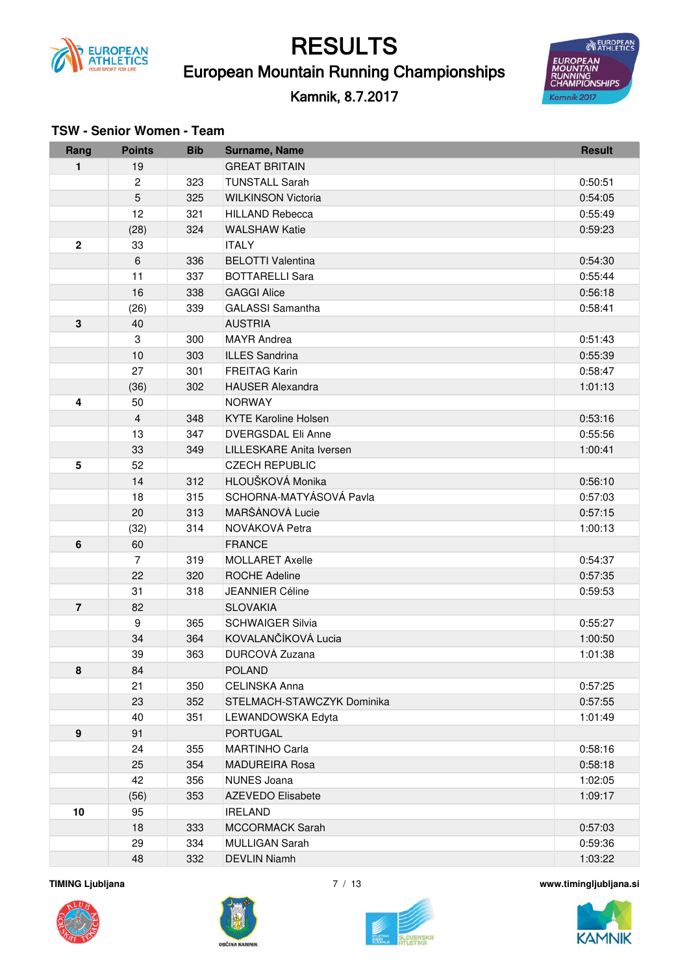

European Mountain Running Championships

#### Kamnik, 8.7.2017



| Rang             | <b>Points</b>           | <b>Bib</b> | Surname, Name                                      | <b>Result</b>      |
|------------------|-------------------------|------------|----------------------------------------------------|--------------------|
| 1                | 19                      |            | <b>GREAT BRITAIN</b>                               |                    |
|                  | $\overline{c}$          | 323        | <b>TUNSTALL Sarah</b>                              | 0:50:51            |
|                  | 5                       | 325        | <b>WILKINSON Victoria</b>                          | 0:54:05            |
|                  | 12                      | 321        | <b>HILLAND Rebecca</b>                             | 0:55:49            |
|                  | (28)                    | 324        | <b>WALSHAW Katie</b>                               | 0:59:23            |
| $\mathbf 2$      | 33                      |            | <b>ITALY</b>                                       |                    |
|                  | 6                       | 336        | <b>BELOTTI Valentina</b>                           | 0:54:30            |
|                  | 11                      | 337        | <b>BOTTARELLI Sara</b>                             | 0:55:44            |
|                  | 16                      | 338        | <b>GAGGI Alice</b>                                 | 0:56:18            |
|                  | (26)                    | 339        | <b>GALASSI</b> Samantha                            | 0:58:41            |
| 3                | 40                      |            | <b>AUSTRIA</b>                                     |                    |
|                  | 3                       | 300        | <b>MAYR</b> Andrea                                 | 0:51:43            |
|                  | 10                      | 303        | <b>ILLES Sandrina</b>                              | 0:55:39            |
|                  | 27                      | 301        | <b>FREITAG Karin</b>                               | 0:58:47            |
|                  | (36)                    | 302        | <b>HAUSER Alexandra</b>                            | 1:01:13            |
| 4                | 50                      |            | <b>NORWAY</b>                                      |                    |
|                  | $\overline{\mathbf{4}}$ | 348        | <b>KYTE Karoline Holsen</b>                        | 0:53:16            |
|                  | 13                      | 347        | <b>DVERGSDAL Eli Anne</b>                          | 0:55:56            |
|                  | 33                      | 349        | <b>LILLESKARE Anita Iversen</b>                    | 1:00:41            |
| 5                | 52                      |            | <b>CZECH REPUBLIC</b>                              |                    |
|                  | 14                      | 312        | HLOUŠKOVÁ Monika                                   | 0:56:10            |
|                  | 18                      | 315        | SCHORNA-MATYÁSOVÁ Pavla                            | 0:57:03            |
|                  | 20                      | 313        | MARŠÁNOVÁ Lucie                                    | 0:57:15            |
|                  | (32)                    | 314        | NOVÁKOVÁ Petra                                     | 1:00:13            |
| 6                | 60                      |            | <b>FRANCE</b>                                      |                    |
|                  | $\overline{7}$          | 319        | <b>MOLLARET Axelle</b>                             | 0:54:37            |
|                  | 22                      | 320        | <b>ROCHE Adeline</b>                               | 0:57:35            |
|                  | 31                      | 318        | <b>JEANNIER Céline</b>                             | 0:59:53            |
| $\overline{7}$   | 82                      |            | <b>SLOVAKIA</b>                                    |                    |
|                  | 9                       | 365        | <b>SCHWAIGER Silvia</b>                            | 0:55:27            |
|                  | 34                      | 364        | KOVALANČÍKOVÁ Lucia                                | 1:00:50            |
|                  | 39                      | 363        | DURCOVÁ Zuzana                                     | 1:01:38            |
| 8                | 84                      |            | <b>POLAND</b>                                      |                    |
|                  | 21                      | 350        | <b>CELINSKA Anna</b><br>STELMACH-STAWCZYK Dominika | 0:57:25            |
|                  | 23<br>40                | 352<br>351 | LEWANDOWSKA Edyta                                  | 0:57:55<br>1:01:49 |
| $\boldsymbol{9}$ | 91                      |            | <b>PORTUGAL</b>                                    |                    |
|                  | 24                      | 355        | <b>MARTINHO Carla</b>                              | 0:58:16            |
|                  | 25                      | 354        | <b>MADUREIRA Rosa</b>                              | 0:58:18            |
|                  | 42                      | 356        | <b>NUNES Joana</b>                                 | 1:02:05            |
|                  | (56)                    | 353        | <b>AZEVEDO Elisabete</b>                           | 1:09:17            |
| 10               | 95                      |            | <b>IRELAND</b>                                     |                    |
|                  | 18                      | 333        | <b>MCCORMACK Sarah</b>                             | 0:57:03            |
|                  | 29                      | 334        | <b>MULLIGAN Sarah</b>                              | 0:59:36            |
|                  | 48                      | 332        | <b>DEVLIN Niamh</b>                                | 1:03:22            |
|                  |                         |            |                                                    |                    |

#### **TSW - Senior Women - Team**







**TIMING Ljubljana** 7 / 13 **www.timingljubljana.si**

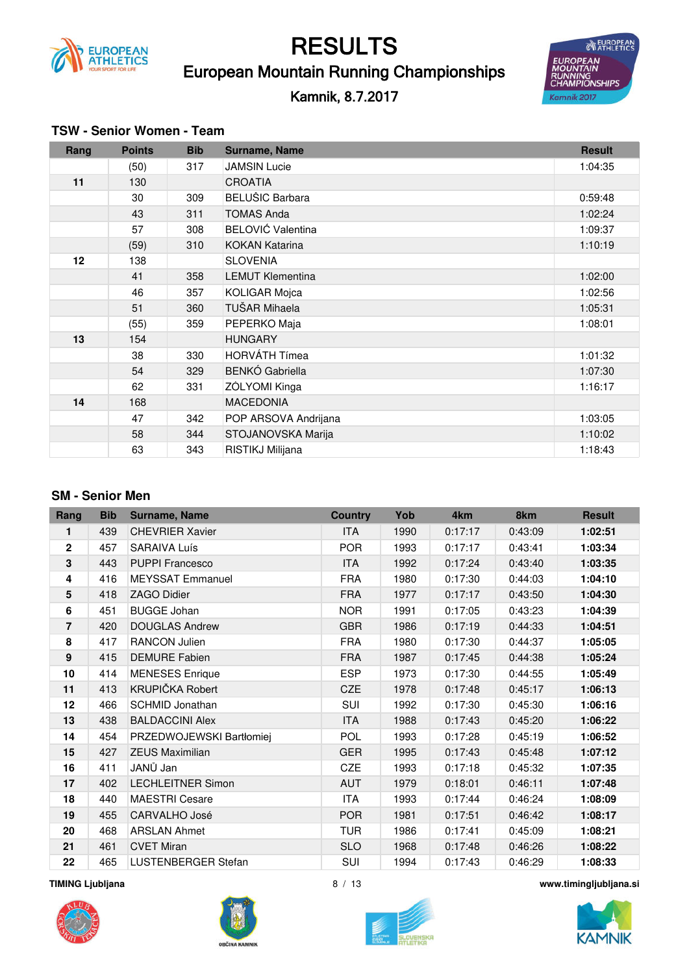

### European Mountain Running Championships RESULTS

### Kamnik, 8.7.2017



#### **TSW - Senior Women - Team**

| Rang | <b>Points</b> | <b>Bib</b> | Surname, Name            | <b>Result</b> |
|------|---------------|------------|--------------------------|---------------|
|      | (50)          | 317        | <b>JAMSIN Lucie</b>      | 1:04:35       |
| 11   | 130           |            | <b>CROATIA</b>           |               |
|      | 30            | 309        | <b>BELUŠIC Barbara</b>   | 0:59:48       |
|      | 43            | 311        | <b>TOMAS Anda</b>        | 1:02:24       |
|      | 57            | 308        | <b>BELOVIĆ Valentina</b> | 1:09:37       |
|      | (59)          | 310        | <b>KOKAN Katarina</b>    | 1:10:19       |
| 12   | 138           |            | <b>SLOVENIA</b>          |               |
|      | 41            | 358        | <b>LEMUT Klementina</b>  | 1:02:00       |
|      | 46            | 357        | <b>KOLIGAR Mojca</b>     | 1:02:56       |
|      | 51            | 360        | TUŠAR Mihaela            | 1:05:31       |
|      | (55)          | 359        | PEPERKO Maja             | 1:08:01       |
| 13   | 154           |            | <b>HUNGARY</b>           |               |
|      | 38            | 330        | <b>HORVÁTH Tímea</b>     | 1:01:32       |
|      | 54            | 329        | <b>BENKÓ Gabriella</b>   | 1:07:30       |
|      | 62            | 331        | ZÓLYOMI Kinga            | 1:16:17       |
| 14   | 168           |            | <b>MACEDONIA</b>         |               |
|      | 47            | 342        | POP ARSOVA Andrijana     | 1:03:05       |
|      | 58            | 344        | STOJANOVSKA Marija       | 1:10:02       |
|      | 63            | 343        | RISTIKJ Milijana         | 1:18:43       |

#### **SM - Senior Men**

| Rang           | <b>Bib</b> | Surname, Name            | <b>Country</b> | Yob  | 4 <sub>km</sub> | 8km     | <b>Result</b> |
|----------------|------------|--------------------------|----------------|------|-----------------|---------|---------------|
| 1              | 439        | <b>CHEVRIER Xavier</b>   | <b>ITA</b>     | 1990 | 0:17:17         | 0:43:09 | 1:02:51       |
| $\mathbf{2}$   | 457        | <b>SARAIVA Luís</b>      | <b>POR</b>     | 1993 | 0:17:17         | 0:43:41 | 1:03:34       |
| 3              | 443        | <b>PUPPI Francesco</b>   | <b>ITA</b>     | 1992 | 0:17:24         | 0:43:40 | 1:03:35       |
| 4              | 416        | <b>MEYSSAT Emmanuel</b>  | <b>FRA</b>     | 1980 | 0:17:30         | 0:44:03 | 1:04:10       |
| 5              | 418        | <b>ZAGO Didier</b>       | <b>FRA</b>     | 1977 | 0:17:17         | 0:43:50 | 1:04:30       |
| 6              | 451        | <b>BUGGE Johan</b>       | <b>NOR</b>     | 1991 | 0:17:05         | 0:43:23 | 1:04:39       |
| $\overline{7}$ | 420        | <b>DOUGLAS Andrew</b>    | <b>GBR</b>     | 1986 | 0:17:19         | 0:44:33 | 1:04:51       |
| 8              | 417        | RANCON Julien            | <b>FRA</b>     | 1980 | 0:17:30         | 0:44:37 | 1:05:05       |
| 9              | 415        | <b>DEMURE Fabien</b>     | <b>FRA</b>     | 1987 | 0:17:45         | 0:44:38 | 1:05:24       |
| 10             | 414        | <b>MENESES</b> Enrique   | <b>ESP</b>     | 1973 | 0:17:30         | 0:44:55 | 1:05:49       |
| 11             | 413        | KRUPIČKA Robert          | <b>CZE</b>     | 1978 | 0:17:48         | 0:45:17 | 1:06:13       |
| 12             | 466        | <b>SCHMID Jonathan</b>   | SUI            | 1992 | 0:17:30         | 0:45:30 | 1:06:16       |
| 13             | 438        | <b>BALDACCINI Alex</b>   | <b>ITA</b>     | 1988 | 0:17:43         | 0:45:20 | 1:06:22       |
| 14             | 454        | PRZEDWOJEWSKI Bartłomiej | <b>POL</b>     | 1993 | 0:17:28         | 0:45:19 | 1:06:52       |
| 15             | 427        | <b>ZEUS Maximilian</b>   | <b>GER</b>     | 1995 | 0:17:43         | 0:45:48 | 1:07:12       |
| 16             | 411        | JANŮ Jan                 | <b>CZE</b>     | 1993 | 0:17:18         | 0:45:32 | 1:07:35       |
| 17             | 402        | <b>LECHLEITNER Simon</b> | <b>AUT</b>     | 1979 | 0:18:01         | 0:46:11 | 1:07:48       |
| 18             | 440        | <b>MAESTRI Cesare</b>    | <b>ITA</b>     | 1993 | 0:17:44         | 0:46:24 | 1:08:09       |
| 19             | 455        | CARVALHO José            | <b>POR</b>     | 1981 | 0:17:51         | 0:46:42 | 1:08:17       |
| 20             | 468        | <b>ARSLAN Ahmet</b>      | <b>TUR</b>     | 1986 | 0:17:41         | 0:45:09 | 1:08:21       |
| 21             | 461        | <b>CVET Miran</b>        | <b>SLO</b>     | 1968 | 0:17:48         | 0:46:26 | 1:08:22       |
| 22             | 465        | LUSTENBERGER Stefan      | SUI            | 1994 | 0:17:43         | 0:46:29 | 1:08:33       |







**TIMING Ljubljana** 8 / 13 **www.timingljubljana.si**

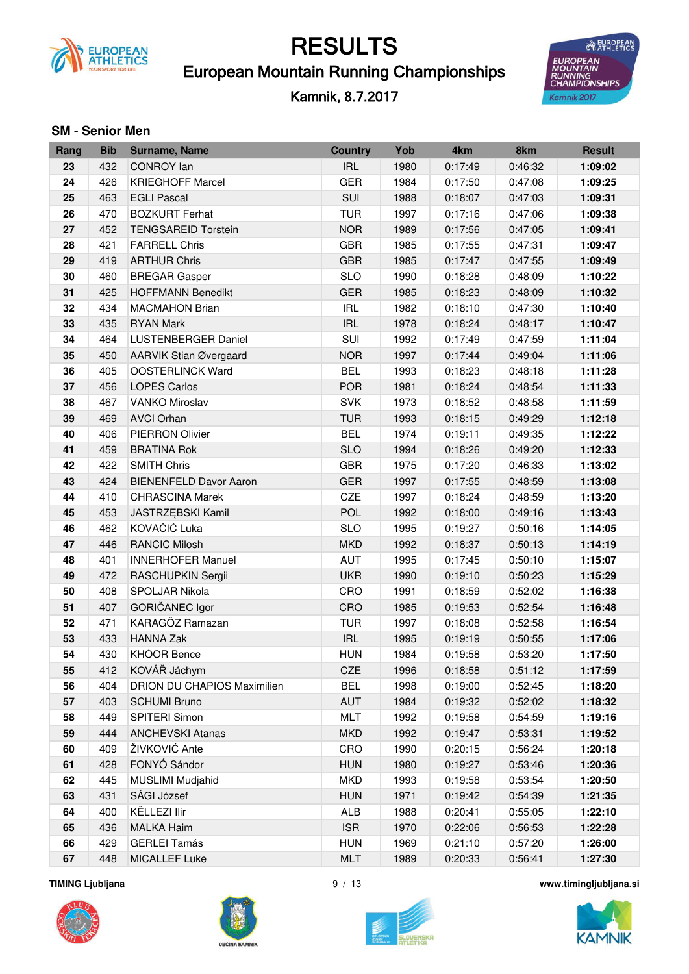

### European Mountain Running Championships

Kamnik, 8.7.2017



#### **SM - Senior Men**

| Rang | <b>Bib</b> | Surname, Name                      | <b>Country</b> | Yob  | 4km     | 8km     | <b>Result</b> |
|------|------------|------------------------------------|----------------|------|---------|---------|---------------|
| 23   | 432        | <b>CONROY</b> lan                  | <b>IRL</b>     | 1980 | 0:17:49 | 0:46:32 | 1:09:02       |
| 24   | 426        | <b>KRIEGHOFF Marcel</b>            | <b>GER</b>     | 1984 | 0:17:50 | 0:47:08 | 1:09:25       |
| 25   | 463        | <b>EGLI Pascal</b>                 | SUI            | 1988 | 0:18:07 | 0:47:03 | 1:09:31       |
| 26   | 470        | <b>BOZKURT Ferhat</b>              | <b>TUR</b>     | 1997 | 0:17:16 | 0:47:06 | 1:09:38       |
| 27   | 452        | <b>TENGSAREID Torstein</b>         | <b>NOR</b>     | 1989 | 0:17:56 | 0:47:05 | 1:09:41       |
| 28   | 421        | <b>FARRELL Chris</b>               | <b>GBR</b>     | 1985 | 0:17:55 | 0:47:31 | 1:09:47       |
| 29   | 419        | <b>ARTHUR Chris</b>                | <b>GBR</b>     | 1985 | 0:17:47 | 0:47:55 | 1:09:49       |
| 30   | 460        | <b>BREGAR Gasper</b>               | <b>SLO</b>     | 1990 | 0:18:28 | 0:48:09 | 1:10:22       |
| 31   | 425        | <b>HOFFMANN Benedikt</b>           | <b>GER</b>     | 1985 | 0:18:23 | 0:48:09 | 1:10:32       |
| 32   | 434        | <b>MACMAHON Brian</b>              | <b>IRL</b>     | 1982 | 0:18:10 | 0:47:30 | 1:10:40       |
| 33   | 435        | <b>RYAN Mark</b>                   | <b>IRL</b>     | 1978 | 0:18:24 | 0:48:17 | 1:10:47       |
| 34   | 464        | <b>LUSTENBERGER Daniel</b>         | SUI            | 1992 | 0:17:49 | 0:47:59 | 1:11:04       |
| 35   | 450        | <b>AARVIK Stian Øvergaard</b>      | <b>NOR</b>     | 1997 | 0:17:44 | 0:49:04 | 1:11:06       |
| 36   | 405        | <b>OOSTERLINCK Ward</b>            | <b>BEL</b>     | 1993 | 0:18:23 | 0:48:18 | 1:11:28       |
| 37   | 456        | <b>LOPES Carlos</b>                | <b>POR</b>     | 1981 | 0:18:24 | 0:48:54 | 1:11:33       |
| 38   | 467        | <b>VANKO Miroslav</b>              | <b>SVK</b>     | 1973 | 0:18:52 | 0:48:58 | 1:11:59       |
| 39   | 469        | <b>AVCI Orhan</b>                  | <b>TUR</b>     | 1993 | 0:18:15 | 0:49:29 | 1:12:18       |
| 40   | 406        | <b>PIERRON Olivier</b>             | <b>BEL</b>     | 1974 | 0:19:11 | 0:49:35 | 1:12:22       |
| 41   | 459        | <b>BRATINA Rok</b>                 | <b>SLO</b>     | 1994 | 0:18:26 | 0:49:20 | 1:12:33       |
| 42   | 422        | <b>SMITH Chris</b>                 | <b>GBR</b>     | 1975 | 0:17:20 | 0:46:33 | 1:13:02       |
| 43   | 424        | <b>BIENENFELD Davor Aaron</b>      | <b>GER</b>     | 1997 | 0:17:55 | 0:48:59 | 1:13:08       |
| 44   | 410        | <b>CHRASCINA Marek</b>             | CZE            | 1997 | 0:18:24 | 0:48:59 | 1:13:20       |
| 45   | 453        | JASTRZĘBSKI Kamil                  | <b>POL</b>     | 1992 | 0:18:00 | 0:49:16 | 1:13:43       |
| 46   | 462        | KOVAČIČ Luka                       | <b>SLO</b>     | 1995 | 0:19:27 | 0:50:16 | 1:14:05       |
| 47   | 446        | <b>RANCIC Milosh</b>               | <b>MKD</b>     | 1992 | 0:18:37 | 0:50:13 | 1:14:19       |
| 48   | 401        | <b>INNERHOFER Manuel</b>           | <b>AUT</b>     | 1995 | 0:17:45 | 0:50:10 | 1:15:07       |
| 49   | 472        | RASCHUPKIN Sergii                  | <b>UKR</b>     | 1990 | 0:19:10 | 0:50:23 | 1:15:29       |
| 50   | 408        | ŠPOLJAR Nikola                     | CRO            | 1991 | 0:18:59 | 0:52:02 | 1:16:38       |
| 51   | 407        | <b>GORIČANEC Igor</b>              | CRO            | 1985 | 0:19:53 | 0:52:54 | 1:16:48       |
| 52   | 471        | KARAGÖZ Ramazan                    | <b>TUR</b>     | 1997 | 0:18:08 | 0:52:58 | 1:16:54       |
| 53   | 433        | <b>HANNA Zak</b>                   | <b>IRL</b>     | 1995 | 0:19:19 | 0:50:55 | 1:17:06       |
| 54   | 430        | KHÓOR Bence                        | <b>HUN</b>     | 1984 | 0:19:58 | 0:53:20 | 1:17:50       |
| 55   | 412        | KOVÁŘ Jáchym                       | CZE            | 1996 | 0:18:58 | 0:51:12 | 1:17:59       |
| 56   | 404        | <b>DRION DU CHAPIOS Maximilien</b> | <b>BEL</b>     | 1998 | 0:19:00 | 0:52:45 | 1:18:20       |
| 57   | 403        | <b>SCHUMI Bruno</b>                | AUT            | 1984 | 0:19:32 | 0:52:02 | 1:18:32       |
| 58   | 449        | SPITERI Simon                      | <b>MLT</b>     | 1992 | 0:19:58 | 0:54:59 | 1:19:16       |
| 59   | 444        | <b>ANCHEVSKI Atanas</b>            | <b>MKD</b>     | 1992 | 0:19:47 | 0:53:31 | 1:19:52       |
| 60   | 409        | ŽIVKOVIĆ Ante                      | CRO            | 1990 | 0:20:15 | 0:56:24 | 1:20:18       |
| 61   | 428        | FONYÓ Sándor                       | <b>HUN</b>     | 1980 | 0:19:27 | 0:53:46 | 1:20:36       |
| 62   | 445        | MUSLIMI Mudjahid                   | <b>MKD</b>     | 1993 | 0:19:58 | 0:53:54 | 1:20:50       |
| 63   | 431        | SÁGI József                        | <b>HUN</b>     | 1971 | 0:19:42 | 0:54:39 | 1:21:35       |
| 64   | 400        | KËLLEZI Ilir                       | ALB            | 1988 | 0:20:41 | 0:55:05 | 1:22:10       |
| 65   | 436        | <b>MALKA Haim</b>                  | <b>ISR</b>     | 1970 | 0:22:06 | 0:56:53 | 1:22:28       |
| 66   | 429        | <b>GERLEI Tamás</b>                | <b>HUN</b>     | 1969 | 0:21:10 | 0:57:20 | 1:26:00       |
| 67   | 448        | MICALLEF Luke                      | <b>MLT</b>     | 1989 | 0:20:33 | 0:56:41 | 1:27:30       |







**TIMING Ljubljana** 9 / 13 **www.timingljubljana.si**

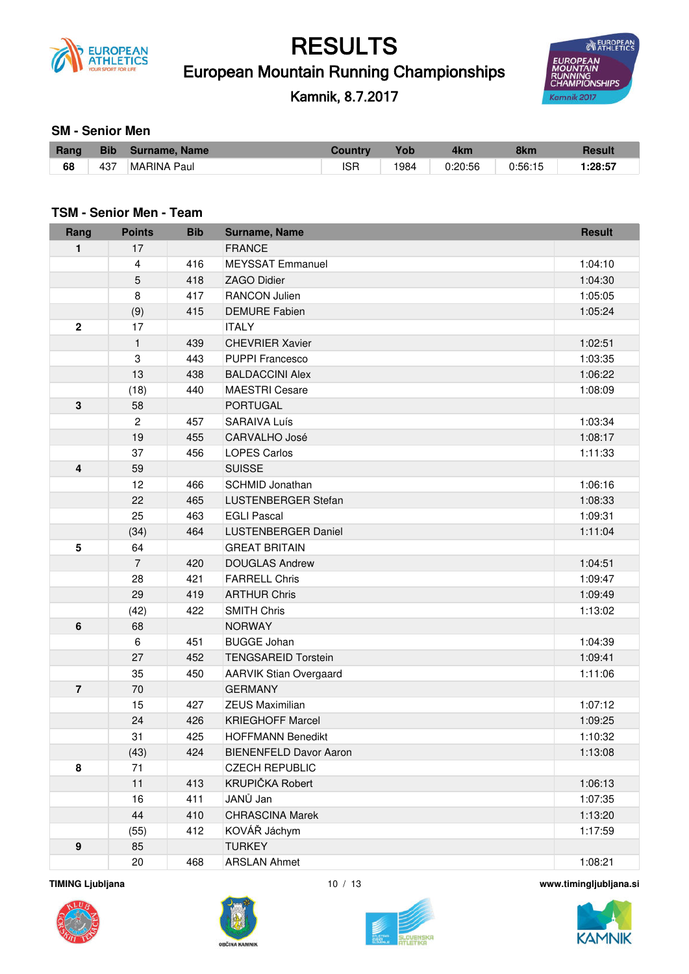

European Mountain Running Championships

Kamnik, 8.7.2017



#### **SM - Senior Men**

| Rang | Bib | Surname, Name | <b>Country</b> | <b>Yob</b> | 4km     | 8km     | <b>Resul</b> |
|------|-----|---------------|----------------|------------|---------|---------|--------------|
| 68   | 437 | MARINA Paul   | <b>ISF</b>     | 1984       | 0:20:56 | 0:56:15 | :28:57       |

#### **TSM - Senior Men - Team**

| Rang             | <b>Points</b>  | <b>Bib</b> | Surname, Name                 | <b>Result</b> |
|------------------|----------------|------------|-------------------------------|---------------|
| 1                | 17             |            | <b>FRANCE</b>                 |               |
|                  | 4              | 416        | <b>MEYSSAT Emmanuel</b>       | 1:04:10       |
|                  | 5              | 418        | <b>ZAGO Didier</b>            | 1:04:30       |
|                  | 8              | 417        | <b>RANCON Julien</b>          | 1:05:05       |
|                  | (9)            | 415        | <b>DEMURE Fabien</b>          | 1:05:24       |
| $\mathbf{2}$     | 17             |            | <b>ITALY</b>                  |               |
|                  | $\mathbf{1}$   | 439        | <b>CHEVRIER Xavier</b>        | 1:02:51       |
|                  | 3              | 443        | <b>PUPPI Francesco</b>        | 1:03:35       |
|                  | 13             | 438        | <b>BALDACCINI Alex</b>        | 1:06:22       |
|                  | (18)           | 440        | <b>MAESTRI Cesare</b>         | 1:08:09       |
| 3                | 58             |            | <b>PORTUGAL</b>               |               |
|                  | $\overline{c}$ | 457        | <b>SARAIVA Luís</b>           | 1:03:34       |
|                  | 19             | 455        | <b>CARVALHO José</b>          | 1:08:17       |
|                  | 37             | 456        | <b>LOPES Carlos</b>           | 1:11:33       |
| 4                | 59             |            | <b>SUISSE</b>                 |               |
|                  | 12             | 466        | SCHMID Jonathan               | 1:06:16       |
|                  | 22             | 465        | LUSTENBERGER Stefan           | 1:08:33       |
|                  | 25             | 463        | <b>EGLI Pascal</b>            | 1:09:31       |
|                  | (34)           | 464        | <b>LUSTENBERGER Daniel</b>    | 1:11:04       |
| 5                | 64             |            | <b>GREAT BRITAIN</b>          |               |
|                  | $\overline{7}$ | 420        | <b>DOUGLAS Andrew</b>         | 1:04:51       |
|                  | 28             | 421        | <b>FARRELL Chris</b>          | 1:09:47       |
|                  | 29             | 419        | <b>ARTHUR Chris</b>           | 1:09:49       |
|                  | (42)           | 422        | <b>SMITH Chris</b>            | 1:13:02       |
| 6                | 68             |            | <b>NORWAY</b>                 |               |
|                  | 6              | 451        | <b>BUGGE Johan</b>            | 1:04:39       |
|                  | 27             | 452        | <b>TENGSAREID Torstein</b>    | 1:09:41       |
|                  | 35             | 450        | <b>AARVIK Stian Overgaard</b> | 1:11:06       |
| $\overline{7}$   | 70             |            | <b>GERMANY</b>                |               |
|                  | 15             | 427        | <b>ZEUS Maximilian</b>        | 1:07:12       |
|                  | 24             | 426        | <b>KRIEGHOFF Marcel</b>       | 1:09:25       |
|                  | 31             | 425        | <b>HOFFMANN Benedikt</b>      | 1:10:32       |
|                  | (43)           | 424        | <b>BIENENFELD Davor Aaron</b> | 1:13:08       |
| 8                | 71             |            | <b>CZECH REPUBLIC</b>         |               |
|                  | 11             | 413        | <b>KRUPIČKA Robert</b>        | 1:06:13       |
|                  | 16             | 411        | JANŮ Jan                      | 1:07:35       |
|                  | 44             | 410        | <b>CHRASCINA Marek</b>        | 1:13:20       |
|                  | (55)           | 412        | KOVÁŘ Jáchym                  | 1:17:59       |
| $\boldsymbol{9}$ | 85             |            | <b>TURKEY</b>                 |               |
|                  | 20             | 468        | <b>ARSLAN Ahmet</b>           | 1:08:21       |







**TIMING Ljubljana** 10 / 13 **www.timingljubljana.si**

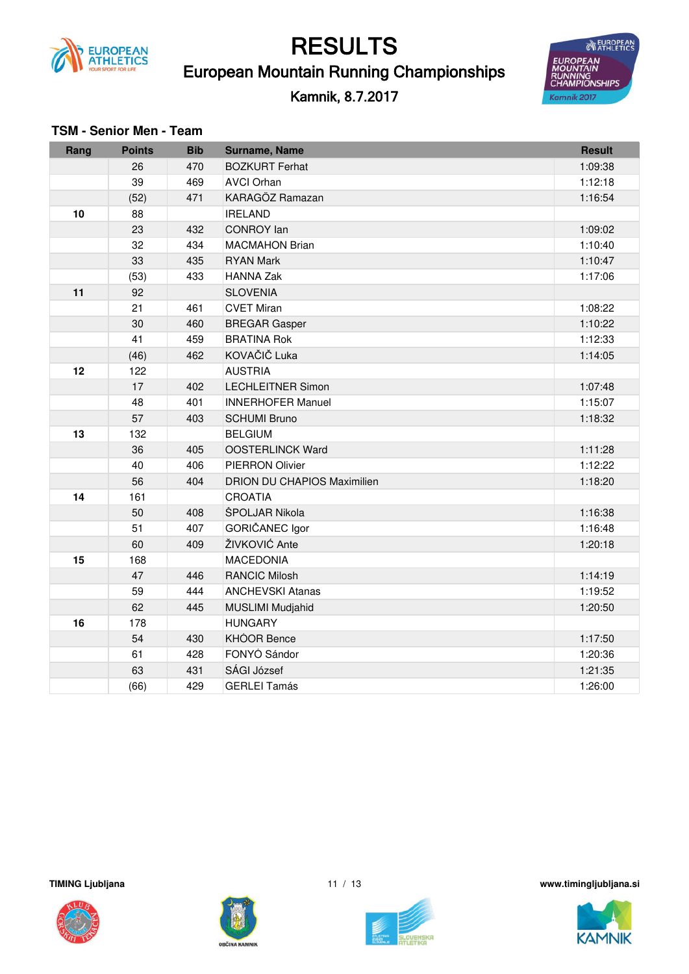

European Mountain Running Championships

#### Kamnik, 8.7.2017



| <b>TSM - Senior Men - Team</b> |  |  |  |  |
|--------------------------------|--|--|--|--|
|--------------------------------|--|--|--|--|

| Rang | <b>Points</b> | <b>Bib</b> | Surname, Name                      | <b>Result</b> |
|------|---------------|------------|------------------------------------|---------------|
|      | 26            | 470        | <b>BOZKURT Ferhat</b>              | 1:09:38       |
|      | 39            | 469        | <b>AVCI Orhan</b>                  | 1:12:18       |
|      | (52)          | 471        | KARAGÖZ Ramazan                    | 1:16:54       |
| 10   | 88            |            | <b>IRELAND</b>                     |               |
|      | 23            | 432        | <b>CONROY lan</b>                  | 1:09:02       |
|      | 32            | 434        | <b>MACMAHON Brian</b>              | 1:10:40       |
|      | 33            | 435        | <b>RYAN Mark</b>                   | 1:10:47       |
|      | (53)          | 433        | <b>HANNA Zak</b>                   | 1:17:06       |
| 11   | 92            |            | <b>SLOVENIA</b>                    |               |
|      | 21            | 461        | <b>CVET Miran</b>                  | 1:08:22       |
|      | 30            | 460        | <b>BREGAR Gasper</b>               | 1:10:22       |
|      | 41            | 459        | <b>BRATINA Rok</b>                 | 1:12:33       |
|      | (46)          | 462        | KOVAČIČ Luka                       | 1:14:05       |
| 12   | 122           |            | <b>AUSTRIA</b>                     |               |
|      | 17            | 402        | <b>LECHLEITNER Simon</b>           | 1:07:48       |
|      | 48            | 401        | <b>INNERHOFER Manuel</b>           | 1:15:07       |
|      | 57            | 403        | <b>SCHUMI Bruno</b>                | 1:18:32       |
| 13   | 132           |            | <b>BELGIUM</b>                     |               |
|      | 36            | 405        | <b>OOSTERLINCK Ward</b>            | 1:11:28       |
|      | 40            | 406        | <b>PIERRON Olivier</b>             | 1:12:22       |
|      | 56            | 404        | <b>DRION DU CHAPIOS Maximilien</b> | 1:18:20       |
| 14   | 161           |            | <b>CROATIA</b>                     |               |
|      | 50            | 408        | ŠPOLJAR Nikola                     | 1:16:38       |
|      | 51            | 407        | GORIČANEC Igor                     | 1:16:48       |
|      | 60            | 409        | ŽIVKOVIĆ Ante                      | 1:20:18       |
| 15   | 168           |            | <b>MACEDONIA</b>                   |               |
|      | 47            | 446        | <b>RANCIC Milosh</b>               | 1:14:19       |
|      | 59            | 444        | <b>ANCHEVSKI Atanas</b>            | 1:19:52       |
|      | 62            | 445        | <b>MUSLIMI Mudjahid</b>            | 1:20:50       |
| 16   | 178           |            | <b>HUNGARY</b>                     |               |
|      | 54            | 430        | <b>KHÓOR Bence</b>                 | 1:17:50       |
|      | 61            | 428        | FONYÓ Sándor                       | 1:20:36       |
|      | 63            | 431        | SÁGI József                        | 1:21:35       |
|      | (66)          | 429        | <b>GERLEI Tamás</b>                | 1:26:00       |







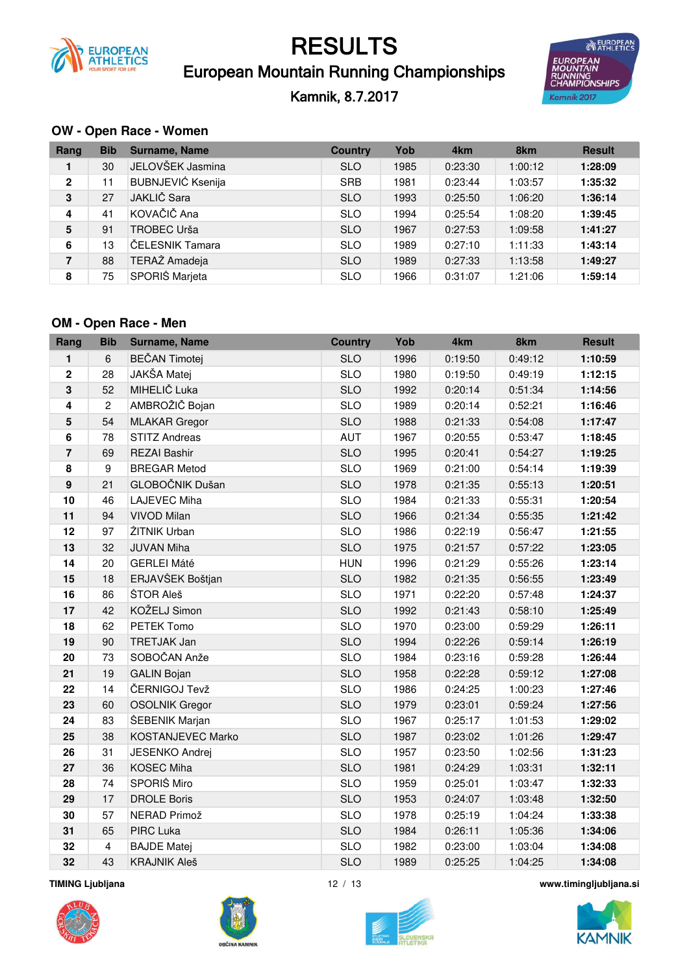

### European Mountain Running Championships

Kamnik, 8.7.2017



#### OW - Open Race - Women

| Rang           | <b>Bib</b> | <b>Surname, Name</b>     | <b>Country</b> | Yob  | 4 <sub>km</sub> | 8km     | <b>Result</b> |
|----------------|------------|--------------------------|----------------|------|-----------------|---------|---------------|
| 1              | 30         | JELOVŠEK Jasmina         | <b>SLO</b>     | 1985 | 0:23:30         | 1:00:12 | 1:28:09       |
| $\mathbf{2}$   | 11         | <b>BUBNJEVIĆ Ksenija</b> | <b>SRB</b>     | 1981 | 0:23:44         | 1:03:57 | 1:35:32       |
| 3              | 27         | JAKLIČ Sara              | <b>SLO</b>     | 1993 | 0:25:50         | 1:06:20 | 1:36:14       |
| $\overline{4}$ | 41         | KOVAČIČ Ana              | <b>SLO</b>     | 1994 | 0:25:54         | 1:08:20 | 1:39:45       |
| 5              | 91         | TROBEC Urša              | <b>SLO</b>     | 1967 | 0:27:53         | 1:09:58 | 1:41:27       |
| 6              | 13         | ČELESNIK Tamara          | <b>SLO</b>     | 1989 | 0:27:10         | 1:11:33 | 1:43:14       |
| $\overline{7}$ | 88         | TERAŽ Amadeja            | <b>SLO</b>     | 1989 | 0:27:33         | 1:13:58 | 1:49:27       |
| 8              | 75         | SPORIŠ Marjeta           | <b>SLO</b>     | 1966 | 0:31:07         | 1:21:06 | 1:59:14       |

#### OM - Open Race - Men

| Rang                    | <b>Bib</b>     | Surname, Name         | <b>Country</b> | Yob  | 4km     | 8km     | <b>Result</b> |
|-------------------------|----------------|-----------------------|----------------|------|---------|---------|---------------|
| 1                       | 6              | <b>BEČAN Timotej</b>  | <b>SLO</b>     | 1996 | 0:19:50 | 0:49:12 | 1:10:59       |
| $\mathbf 2$             | 28             | JAKŠA Matej           | <b>SLO</b>     | 1980 | 0:19:50 | 0:49:19 | 1:12:15       |
| $\mathbf 3$             | 52             | MIHELIČ Luka          | <b>SLO</b>     | 1992 | 0:20:14 | 0:51:34 | 1:14:56       |
| $\overline{\mathbf{4}}$ | $\overline{2}$ | AMBROŽIČ Bojan        | <b>SLO</b>     | 1989 | 0:20:14 | 0:52:21 | 1:16:46       |
| 5                       | 54             | <b>MLAKAR</b> Gregor  | <b>SLO</b>     | 1988 | 0:21:33 | 0:54:08 | 1:17:47       |
| $\bf 6$                 | 78             | <b>STITZ Andreas</b>  | <b>AUT</b>     | 1967 | 0:20:55 | 0:53:47 | 1:18:45       |
| $\overline{7}$          | 69             | <b>REZAI Bashir</b>   | <b>SLO</b>     | 1995 | 0:20:41 | 0:54:27 | 1:19:25       |
| 8                       | 9              | <b>BREGAR Metod</b>   | <b>SLO</b>     | 1969 | 0:21:00 | 0:54:14 | 1:19:39       |
| $\boldsymbol{9}$        | 21             | GLOBOČNIK Dušan       | <b>SLO</b>     | 1978 | 0:21:35 | 0:55:13 | 1:20:51       |
| 10                      | 46             | <b>LAJEVEC Miha</b>   | <b>SLO</b>     | 1984 | 0:21:33 | 0:55:31 | 1:20:54       |
| 11                      | 94             | <b>VIVOD Milan</b>    | <b>SLO</b>     | 1966 | 0:21:34 | 0:55:35 | 1:21:42       |
| 12                      | 97             | ŽITNIK Urban          | <b>SLO</b>     | 1986 | 0:22:19 | 0:56:47 | 1:21:55       |
| 13                      | 32             | <b>JUVAN Miha</b>     | <b>SLO</b>     | 1975 | 0:21:57 | 0:57:22 | 1:23:05       |
| 14                      | 20             | <b>GERLEI Máté</b>    | <b>HUN</b>     | 1996 | 0:21:29 | 0:55:26 | 1:23:14       |
| 15                      | 18             | ERJAVŠEK Boštjan      | <b>SLO</b>     | 1982 | 0:21:35 | 0:56:55 | 1:23:49       |
| 16                      | 86             | ŠTOR Aleš             | <b>SLO</b>     | 1971 | 0:22:20 | 0:57:48 | 1:24:37       |
| 17                      | 42             | KOŽELJ Simon          | <b>SLO</b>     | 1992 | 0:21:43 | 0:58:10 | 1:25:49       |
| 18                      | 62             | PETEK Tomo            | <b>SLO</b>     | 1970 | 0:23:00 | 0:59:29 | 1:26:11       |
| 19                      | 90             | <b>TRETJAK Jan</b>    | <b>SLO</b>     | 1994 | 0:22:26 | 0:59:14 | 1:26:19       |
| 20                      | 73             | SOBOČAN Anže          | <b>SLO</b>     | 1984 | 0:23:16 | 0:59:28 | 1:26:44       |
| 21                      | 19             | <b>GALIN Bojan</b>    | <b>SLO</b>     | 1958 | 0:22:28 | 0:59:12 | 1:27:08       |
| 22                      | 14             | ČERNIGOJ Tevž         | <b>SLO</b>     | 1986 | 0:24:25 | 1:00:23 | 1:27:46       |
| 23                      | 60             | <b>OSOLNIK Gregor</b> | <b>SLO</b>     | 1979 | 0:23:01 | 0:59:24 | 1:27:56       |
| 24                      | 83             | ŠEBENIK Marjan        | <b>SLO</b>     | 1967 | 0:25:17 | 1:01:53 | 1:29:02       |
| 25                      | 38             | KOSTANJEVEC Marko     | <b>SLO</b>     | 1987 | 0:23:02 | 1:01:26 | 1:29:47       |
| 26                      | 31             | <b>JESENKO Andrej</b> | <b>SLO</b>     | 1957 | 0:23:50 | 1:02:56 | 1:31:23       |
| 27                      | 36             | <b>KOSEC Miha</b>     | <b>SLO</b>     | 1981 | 0:24:29 | 1:03:31 | 1:32:11       |
| 28                      | 74             | SPORIŠ Miro           | <b>SLO</b>     | 1959 | 0:25:01 | 1:03:47 | 1:32:33       |
| 29                      | 17             | <b>DROLE Boris</b>    | <b>SLO</b>     | 1953 | 0:24:07 | 1:03:48 | 1:32:50       |
| 30                      | 57             | NERAD Primož          | <b>SLO</b>     | 1978 | 0:25:19 | 1:04:24 | 1:33:38       |
| 31                      | 65             | PIRC Luka             | <b>SLO</b>     | 1984 | 0:26:11 | 1:05:36 | 1:34:06       |
| 32                      | $\overline{4}$ | <b>BAJDE Matej</b>    | <b>SLO</b>     | 1982 | 0:23:00 | 1:03:04 | 1:34:08       |
| 32                      | 43             | <b>KRAJNIK Aleš</b>   | <b>SLO</b>     | 1989 | 0:25:25 | 1:04:25 | 1:34:08       |

**TIMING Ljubljana** 







www.timingljubljana.si



 $12 / 13$